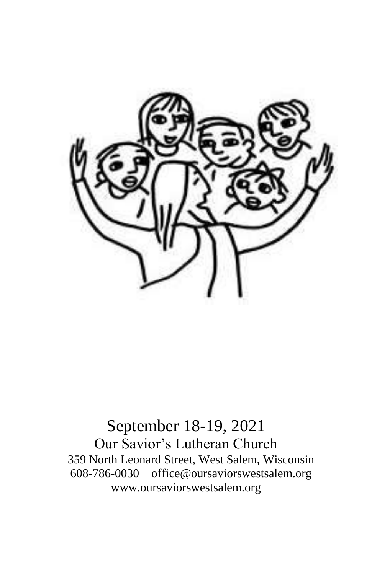

September 18-19, 2021 Our Savior's Lutheran Church 359 North Leonard Street, West Salem, Wisconsin 608-786-0030 office@oursaviorswestsalem.org [www.oursaviorswestsalem.org](http://www.oursaviorswestsalem.org/)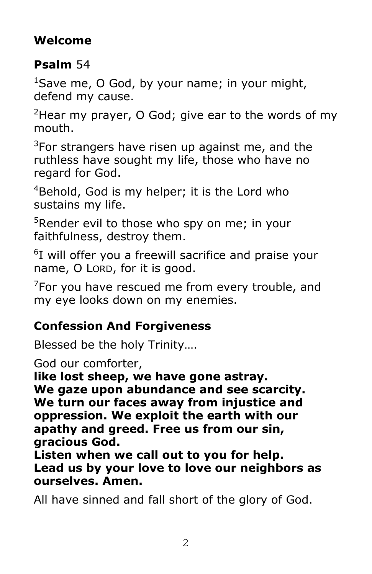# **Welcome**

### **Psalm** 54

 $1$ Save me, O God, by your name; in your might, defend my cause.

 $2$ Hear my prayer, O God; give ear to the words of my mouth.

 $3$ For strangers have risen up against me, and the ruthless have sought my life, those who have no regard for God.

<sup>4</sup>Behold, God is my helper; it is the Lord who sustains my life.

<sup>5</sup>Render evil to those who spy on me; in your faithfulness, destroy them.

<sup>6</sup>I will offer you a freewill sacrifice and praise your name, O LORD, for it is good.

 $7$ For you have rescued me from every trouble, and my eye looks down on my enemies.

#### **Confession And Forgiveness**

Blessed be the holy Trinity….

God our comforter,

**like lost sheep, we have gone astray.**

**We gaze upon abundance and see scarcity. We turn our faces away from injustice and oppression. We exploit the earth with our apathy and greed. Free us from our sin, gracious God.**

**Listen when we call out to you for help. Lead us by your love to love our neighbors as ourselves. Amen.**

All have sinned and fall short of the glory of God.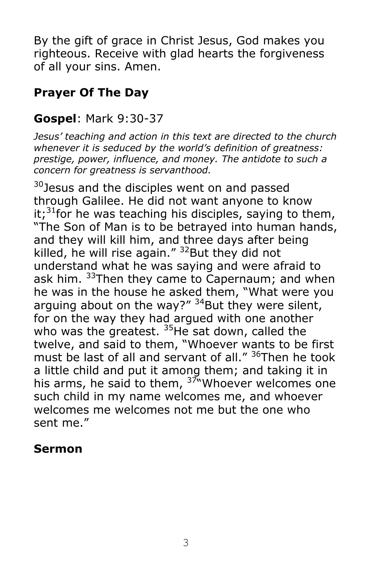By the gift of grace in Christ Jesus, God makes you righteous. Receive with glad hearts the forgiveness of all your sins. Amen.

# **Prayer Of The Day**

### **Gospel**: Mark 9:30-37

*Jesus' teaching and action in this text are directed to the church whenever it is seduced by the world's definition of greatness: prestige, power, influence, and money. The antidote to such a concern for greatness is servanthood.*

<sup>30</sup>Jesus and the disciples went on and passed through Galilee. He did not want anyone to know it;<sup>31</sup>for he was teaching his disciples, saying to them, "The Son of Man is to be betrayed into human hands, and they will kill him, and three days after being killed, he will rise again."  $32$ But they did not understand what he was saying and were afraid to ask him. <sup>33</sup>Then they came to Capernaum; and when he was in the house he asked them, "What were you arguing about on the way?"  $34$ But they were silent, for on the way they had argued with one another who was the greatest.  $35$ He sat down, called the twelve, and said to them, "Whoever wants to be first must be last of all and servant of all." <sup>36</sup>Then he took a little child and put it among them; and taking it in his arms, he said to them,  $3\frac{3}{10}$  Whoever welcomes one such child in my name welcomes me, and whoever welcomes me welcomes not me but the one who sent me."

#### **Sermon**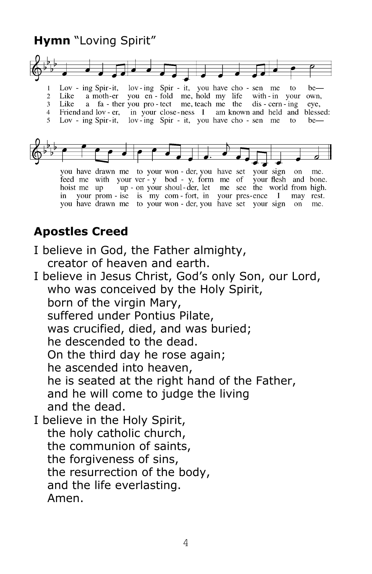#### **Hymn** "Loving Spirit"



lov-ing Spir - it, you have cho - sen me to<br>you en - fold me, hold my life with - in your Lov - ing Spir-it,  $\mathbf{1}$ be-Like a moth-er  $\overline{2}$ own. a fa - ther you pro - tect me, teach me the dis - cern - ing  $3<sup>1</sup>$ Like eye, 4 Friend and lov - er, in your close-ness I am known and held and blessed: 5 Lov - ing Spir-it, lov-ing Spir - it, you have cho-sen me to  $be$ —



you have drawn me to your won - der, you have set your sign on me. feed me with your ver - y bod - y, form me of your flesh and bone. your ver - y bod - y form me of your flesh and bone.<br>up - on your shoul - der, let me see the world from high. hoist me up in your prom - ise is my com - fort, in your pres-ence I may rest. you have drawn me to your won - der, you have set your sign on me.

#### **Apostles Creed**

- I believe in God, the Father almighty, creator of heaven and earth.
- I believe in Jesus Christ, God's only Son, our Lord, who was conceived by the Holy Spirit, born of the virgin Mary, suffered under Pontius Pilate, was crucified, died, and was buried; he descended to the dead. On the third day he rose again; he ascended into heaven, he is seated at the right hand of the Father, and he will come to judge the living and the dead. I believe in the Holy Spirit, the holy catholic church, the communion of saints, the forgiveness of sins, the resurrection of the body,
	- and the life everlasting.
	- Amen.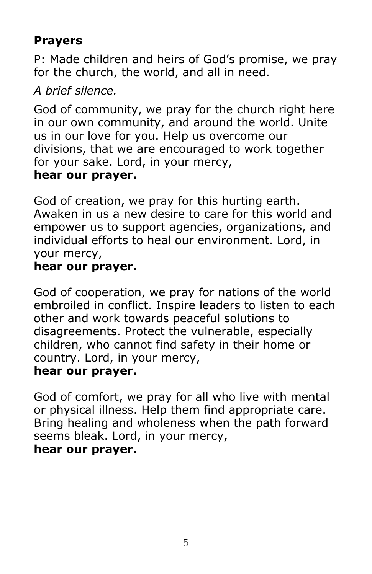### **Prayers**

P: Made children and heirs of God's promise, we pray for the church, the world, and all in need.

### *A brief silence.*

God of community, we pray for the church right here in our own community, and around the world. Unite us in our love for you. Help us overcome our divisions, that we are encouraged to work together for your sake. Lord, in your mercy, **hear our prayer.**

God of creation, we pray for this hurting earth. Awaken in us a new desire to care for this world and empower us to support agencies, organizations, and individual efforts to heal our environment. Lord, in your mercy,

### **hear our prayer.**

God of cooperation, we pray for nations of the world embroiled in conflict. Inspire leaders to listen to each other and work towards peaceful solutions to disagreements. Protect the vulnerable, especially children, who cannot find safety in their home or country. Lord, in your mercy,

#### **hear our prayer.**

God of comfort, we pray for all who live with mental or physical illness. Help them find appropriate care. Bring healing and wholeness when the path forward seems bleak. Lord, in your mercy, **hear our prayer.**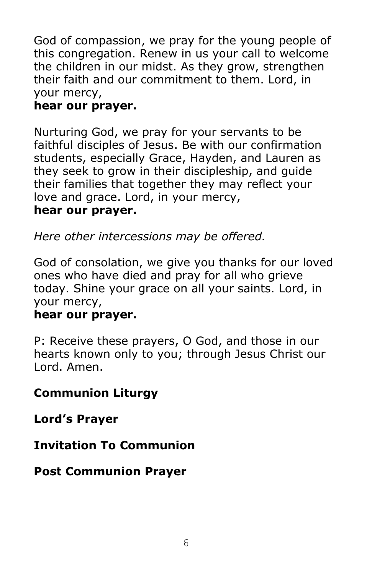God of compassion, we pray for the young people of this congregation. Renew in us your call to welcome the children in our midst. As they grow, strengthen their faith and our commitment to them. Lord, in your mercy,

#### **hear our prayer.**

Nurturing God, we pray for your servants to be faithful disciples of Jesus. Be with our confirmation students, especially Grace, Hayden, and Lauren as they seek to grow in their discipleship, and guide their families that together they may reflect your love and grace. Lord, in your mercy, **hear our prayer.**

*Here other intercessions may be offered.*

God of consolation, we give you thanks for our loved ones who have died and pray for all who grieve today. Shine your grace on all your saints. Lord, in your mercy,

#### **hear our prayer.**

P: Receive these prayers, O God, and those in our hearts known only to you; through Jesus Christ our Lord. Amen.

# **Communion Liturgy**

**Lord's Prayer**

# **Invitation To Communion**

#### **Post Communion Prayer**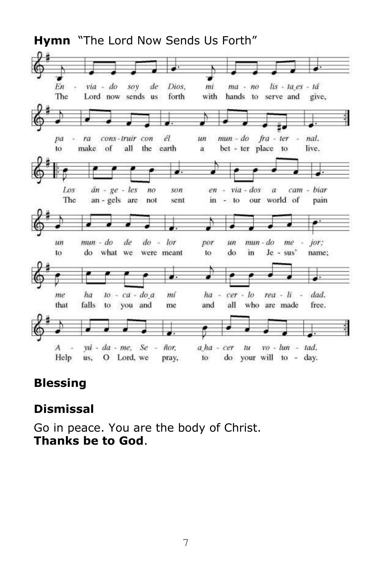

# **Blessing**

#### **Dismissal**

Go in peace. You are the body of Christ. **Thanks be to God**.